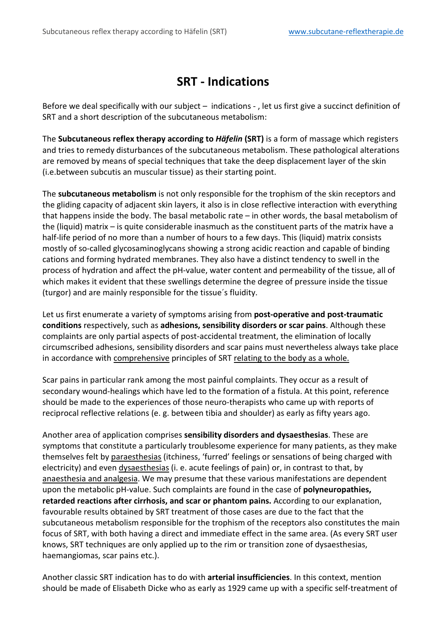## **SRT - Indications**

Before we deal specifically with our subject – indications - , let us first give a succinct definition of SRT and a short description of the subcutaneous metabolism:

The **Subcutaneous reflex therapy according to** *Häfelin* **(SRT)** is a form of massage which registers and tries to remedy disturbances of the subcutaneous metabolism. These pathological alterations are removed by means of special techniques that take the deep displacement layer of the skin (i.e.between subcutis an muscular tissue) as their starting point.

The **subcutaneous metabolism** is not only responsible for the trophism of the skin receptors and the gliding capacity of adjacent skin layers, it also is in close reflective interaction with everything that happens inside the body. The basal metabolic rate – in other words, the basal metabolism of the (liquid) matrix – is quite considerable inasmuch as the constituent parts of the matrix have a half-life period of no more than a number of hours to a few days. This (liquid) matrix consists mostly of so-called glycosaminoglycans showing a strong acidic reaction and capable of binding cations and forming hydrated membranes. They also have a distinct tendency to swell in the process of hydration and affect the pH-value, water content and permeability of the tissue, all of which makes it evident that these swellings determine the degree of pressure inside the tissue (turgor) and are mainly responsible for the tissue´s fluidity.

Let us first enumerate a variety of symptoms arising from **post-operative and post-traumatic conditions** respectively, such as **adhesions, sensibility disorders or scar pains**. Although these complaints are only partial aspects of post-accidental treatment, the elimination of locally circumscribed adhesions, sensibility disorders and scar pains must nevertheless always take place in accordance with comprehensive principles of SRT relating to the body as a whole.

Scar pains in particular rank among the most painful complaints. They occur as a result of secondary wound-healings which have led to the formation of a fistula. At this point, reference should be made to the experiences of those neuro-therapists who came up with reports of reciprocal reflective relations (e. g. between tibia and shoulder) as early as fifty years ago.

Another area of application comprises **sensibility disorders and dysaesthesias**. These are symptoms that constitute a particularly troublesome experience for many patients, as they make themselves felt by paraesthesias (itchiness, 'furred' feelings or sensations of being charged with electricity) and even dysaesthesias (i. e. acute feelings of pain) or, in contrast to that, by anaesthesia and analgesia. We may presume that these various manifestations are dependent upon the metabolic pH-value. Such complaints are found in the case of **polyneuropathies, retarded reactions after cirrhosis, and scar or phantom pains.** According to our explanation, favourable results obtained by SRT treatment of those cases are due to the fact that the subcutaneous metabolism responsible for the trophism of the receptors also constitutes the main focus of SRT, with both having a direct and immediate effect in the same area. (As every SRT user knows, SRT techniques are only applied up to the rim or transition zone of dysaesthesias, haemangiomas, scar pains etc.).

Another classic SRT indication has to do with **arterial insufficiencies**. In this context, mention should be made of Elisabeth Dicke who as early as 1929 came up with a specific self-treatment of